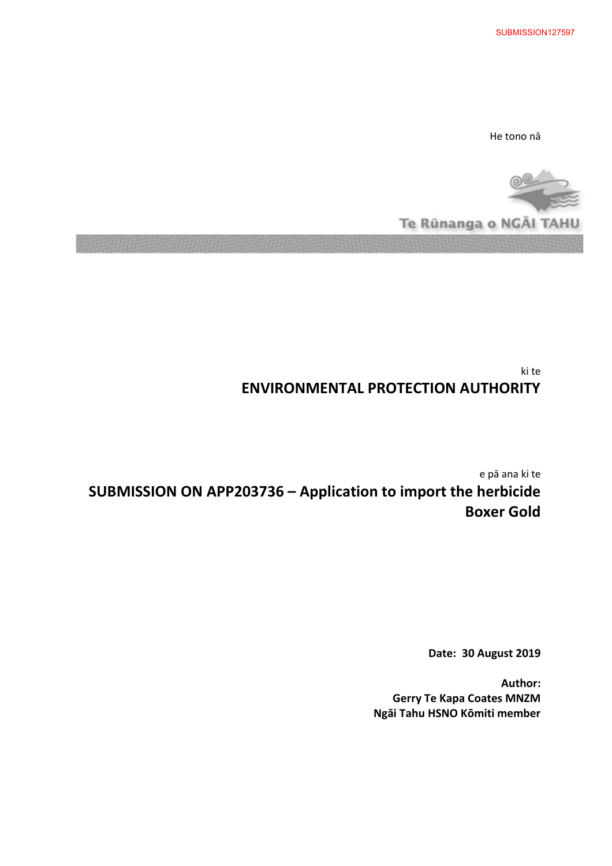SUBMISSION127597

He tono nā

Te Rünanga o NGAI TAHL

ki te **ENVIRONMENTAL PROTECTION AUTHORITY** 

e pā ana ki te **SUBMISSION ON APP203736 – Application to import the herbicide Boxer Gold**

**Date: 30 August 2019** 

**Author: Gerry Te Kapa Coates MNZM Ngāi Tahu HSNO Kōmiti member**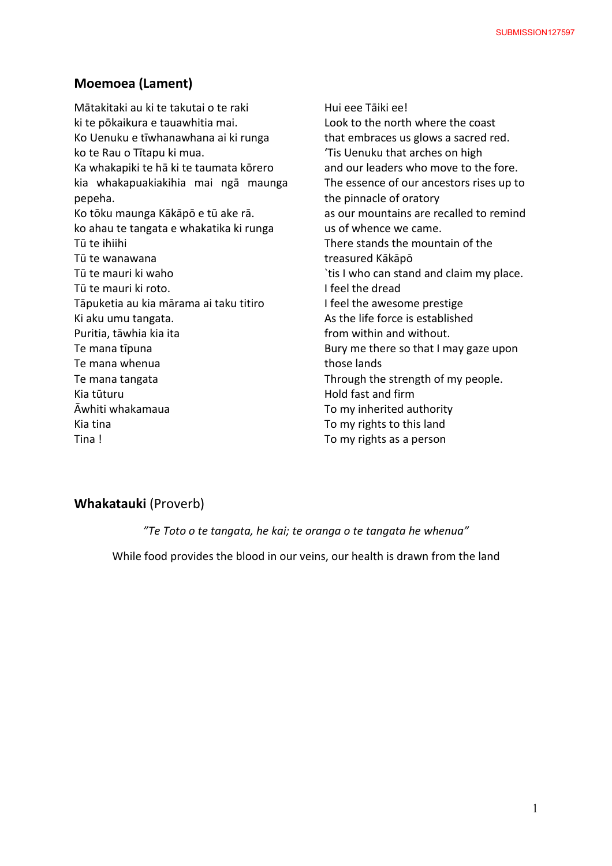## **Moemoea (Lament)**

Mātakitaki au ki te takutai o te raki ki te pōkaikura e tauawhitia mai. Ko Uenuku e tīwhanawhana ai ki runga ko te Rau o Tītapu ki mua. Ka whakapiki te hā ki te taumata kōrero kia whakapuakiakihia mai ngā maunga pepeha. Ko tōku maunga Kākāpō e tū ake rā. ko ahau te tangata e whakatika ki runga Tū te ihiihi Tū te wanawana Tū te mauri ki waho Tū te mauri ki roto. Tāpuketia au kia mārama ai taku titiro Ki aku umu tangata. Puritia, tāwhia kia ita Te mana tīpuna Te mana whenua Te mana tangata Kia tūturu Āwhiti whakamaua Kia tina Tina !

Hui eee Tāiki ee! Look to the north where the coast that embraces us glows a sacred red. 'Tis Uenuku that arches on high and our leaders who move to the fore. The essence of our ancestors rises up to the pinnacle of oratory as our mountains are recalled to remind us of whence we came. There stands the mountain of the treasured Kākāpō `tis I who can stand and claim my place. I feel the dread I feel the awesome prestige As the life force is established from within and without. Bury me there so that I may gaze upon those lands Through the strength of my people. Hold fast and firm To my inherited authority To my rights to this land To my rights as a person

# **Whakatauki** (Proverb)

*"Te Toto o te tangata, he kai; te oranga o te tangata he whenua"* 

While food provides the blood in our veins, our health is drawn from the land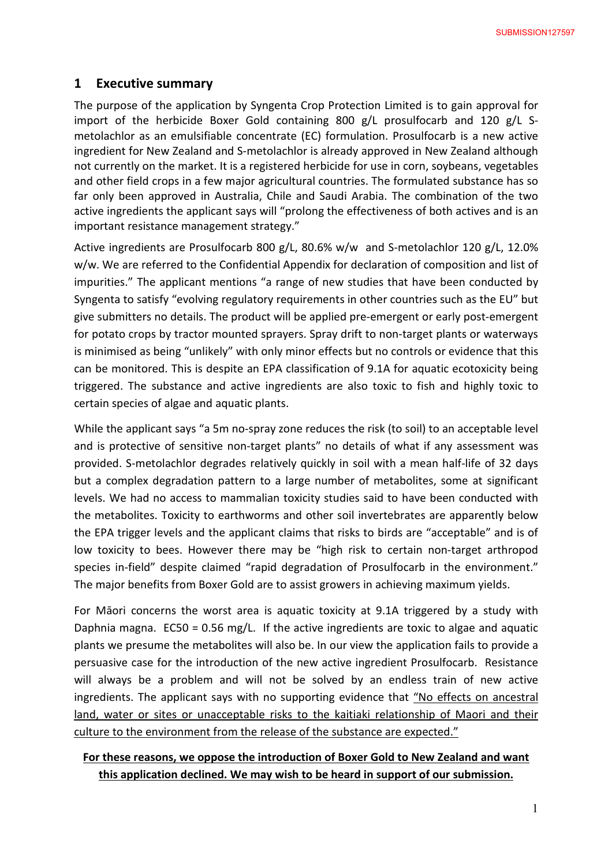# **1 Executive summary**

The purpose of the application by Syngenta Crop Protection Limited is to gain approval for import of the herbicide Boxer Gold containing 800  $g/L$  prosulfocarb and 120  $g/L$  Smetolachlor as an emulsifiable concentrate (EC) formulation. Prosulfocarb is a new active ingredient for New Zealand and S-metolachlor is already approved in New Zealand although not currently on the market. It is a registered herbicide for use in corn, soybeans, vegetables and other field crops in a few major agricultural countries. The formulated substance has so far only been approved in Australia, Chile and Saudi Arabia. The combination of the two active ingredients the applicant says will "prolong the effectiveness of both actives and is an important resistance management strategy."

Active ingredients are Prosulfocarb 800 g/L, 80.6% w/w and S-metolachlor 120 g/L, 12.0% w/w. We are referred to the Confidential Appendix for declaration of composition and list of impurities." The applicant mentions "a range of new studies that have been conducted by Syngenta to satisfy "evolving regulatory requirements in other countries such as the EU" but give submitters no details. The product will be applied pre-emergent or early post-emergent for potato crops by tractor mounted sprayers. Spray drift to non-target plants or waterways is minimised as being "unlikely" with only minor effects but no controls or evidence that this can be monitored. This is despite an EPA classification of 9.1A for aquatic ecotoxicity being triggered. The substance and active ingredients are also toxic to fish and highly toxic to certain species of algae and aquatic plants.

While the applicant says "a 5m no-spray zone reduces the risk (to soil) to an acceptable level and is protective of sensitive non-target plants" no details of what if any assessment was provided. S-metolachlor degrades relatively quickly in soil with a mean half-life of 32 days but a complex degradation pattern to a large number of metabolites, some at significant levels. We had no access to mammalian toxicity studies said to have been conducted with the metabolites. Toxicity to earthworms and other soil invertebrates are apparently below the EPA trigger levels and the applicant claims that risks to birds are "acceptable" and is of low toxicity to bees. However there may be "high risk to certain non-target arthropod species in-field" despite claimed "rapid degradation of Prosulfocarb in the environment." The major benefits from Boxer Gold are to assist growers in achieving maximum yields.

For Māori concerns the worst area is aquatic toxicity at 9.1A triggered by a study with Daphnia magna. EC50 = 0.56 mg/L. If the active ingredients are toxic to algae and aquatic plants we presume the metabolites will also be. In our view the application fails to provide a persuasive case for the introduction of the new active ingredient Prosulfocarb. Resistance will always be a problem and will not be solved by an endless train of new active ingredients. The applicant says with no supporting evidence that "No effects on ancestral land, water or sites or unacceptable risks to the kaitiaki relationship of Maori and their culture to the environment from the release of the substance are expected."

# **For these reasons, we oppose the introduction of Boxer Gold to New Zealand and want this application declined. We may wish to be heard in support of our submission.**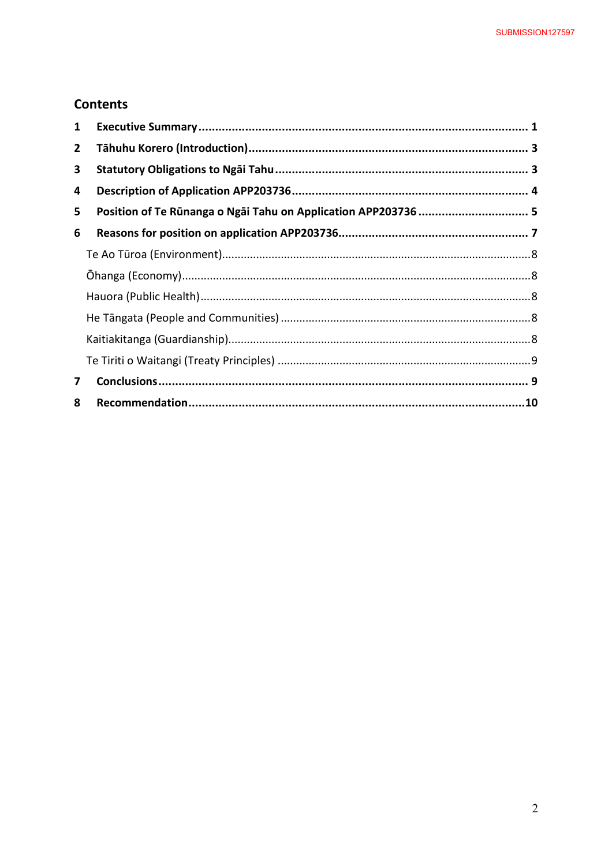# **Contents**

| 1 |                                                                |  |
|---|----------------------------------------------------------------|--|
| 2 |                                                                |  |
| 3 |                                                                |  |
| 4 |                                                                |  |
| 5 | Position of Te Rūnanga o Ngāi Tahu on Application APP203736  5 |  |
| 6 |                                                                |  |
|   |                                                                |  |
|   |                                                                |  |
|   |                                                                |  |
|   |                                                                |  |
|   |                                                                |  |
|   |                                                                |  |
| 7 |                                                                |  |
| 8 |                                                                |  |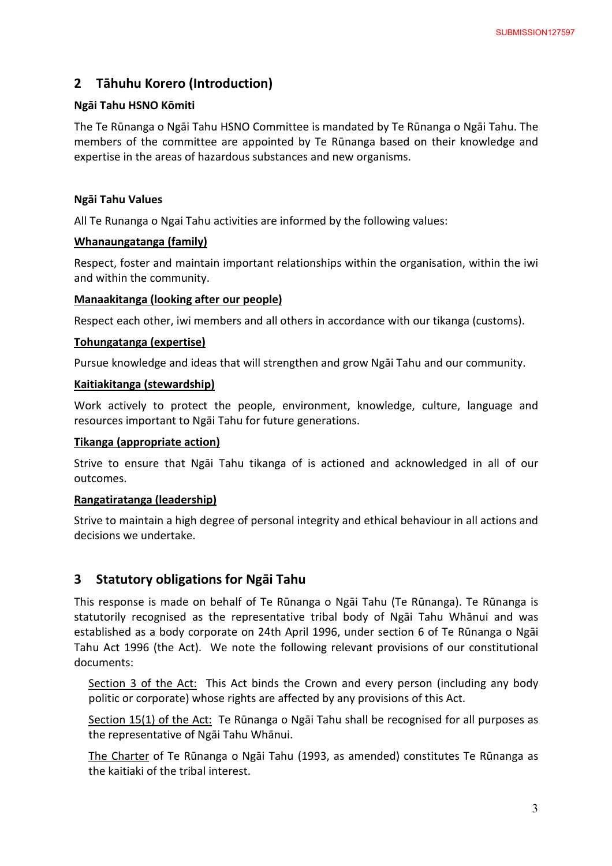# **2 Tāhuhu Korero (Introduction)**

### **Ngāi Tahu HSNO Kōmiti**

The Te Rūnanga o Ngāi Tahu HSNO Committee is mandated by Te Rūnanga o Ngāi Tahu. The members of the committee are appointed by Te Rūnanga based on their knowledge and expertise in the areas of hazardous substances and new organisms.

### **Ngāi Tahu Values**

All Te Runanga o Ngai Tahu activities are informed by the following values:

## **Whanaungatanga (family)**

Respect, foster and maintain important relationships within the organisation, within the iwi and within the community.

## **Manaakitanga (looking after our people)**

Respect each other, iwi members and all others in accordance with our tikanga (customs).

## **Tohungatanga (expertise)**

Pursue knowledge and ideas that will strengthen and grow Ngāi Tahu and our community.

#### **Kaitiakitanga (stewardship)**

Work actively to protect the people, environment, knowledge, culture, language and resources important to Ngāi Tahu for future generations.

#### **Tikanga (appropriate action)**

Strive to ensure that Ngāi Tahu tikanga of is actioned and acknowledged in all of our outcomes.

#### **Rangatiratanga (leadership)**

Strive to maintain a high degree of personal integrity and ethical behaviour in all actions and decisions we undertake.

# **3 Statutory obligations for Ngāi Tahu**

This response is made on behalf of Te Rūnanga o Ngāi Tahu (Te Rūnanga). Te Rūnanga is statutorily recognised as the representative tribal body of Ngāi Tahu Whānui and was established as a body corporate on 24th April 1996, under section 6 of Te Rūnanga o Ngāi Tahu Act 1996 (the Act). We note the following relevant provisions of our constitutional documents:

Section 3 of the Act: This Act binds the Crown and every person (including any body politic or corporate) whose rights are affected by any provisions of this Act.

Section 15(1) of the Act: Te Rūnanga o Ngāi Tahu shall be recognised for all purposes as the representative of Ngāi Tahu Whānui.

The Charter of Te Rūnanga o Ngāi Tahu (1993, as amended) constitutes Te Rūnanga as the kaitiaki of the tribal interest.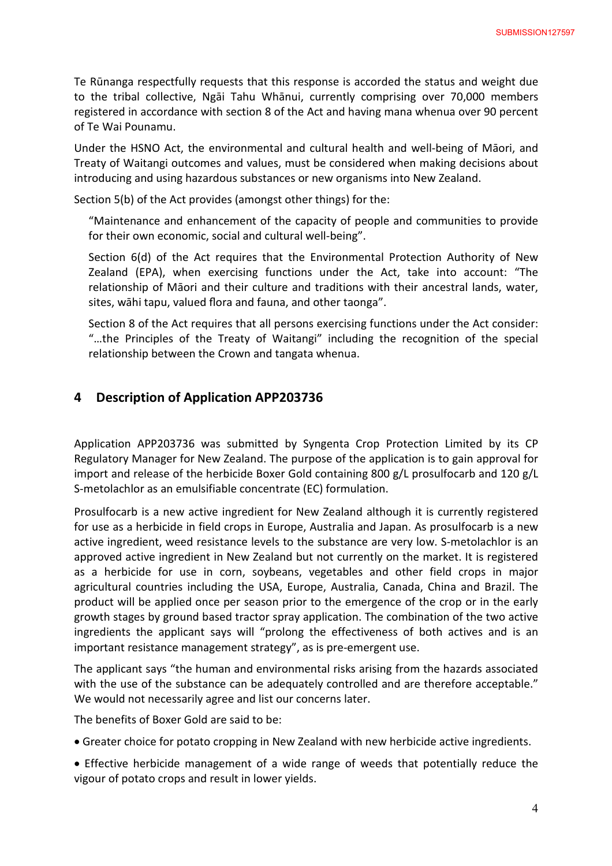Te Rūnanga respectfully requests that this response is accorded the status and weight due to the tribal collective, Ngāi Tahu Whānui, currently comprising over 70,000 members registered in accordance with section 8 of the Act and having mana whenua over 90 percent of Te Wai Pounamu.

Under the HSNO Act, the environmental and cultural health and well-being of Māori, and Treaty of Waitangi outcomes and values, must be considered when making decisions about introducing and using hazardous substances or new organisms into New Zealand.

Section 5(b) of the Act provides (amongst other things) for the:

"Maintenance and enhancement of the capacity of people and communities to provide for their own economic, social and cultural well-being".

Section 6(d) of the Act requires that the Environmental Protection Authority of New Zealand (EPA), when exercising functions under the Act, take into account: "The relationship of Māori and their culture and traditions with their ancestral lands, water, sites, wāhi tapu, valued flora and fauna, and other taonga".

Section 8 of the Act requires that all persons exercising functions under the Act consider: "…the Principles of the Treaty of Waitangi" including the recognition of the special relationship between the Crown and tangata whenua.

# **4 Description of Application APP203736**

Application APP203736 was submitted by Syngenta Crop Protection Limited by its CP Regulatory Manager for New Zealand. The purpose of the application is to gain approval for import and release of the herbicide Boxer Gold containing 800 g/L prosulfocarb and 120 g/L S-metolachlor as an emulsifiable concentrate (EC) formulation.

Prosulfocarb is a new active ingredient for New Zealand although it is currently registered for use as a herbicide in field crops in Europe, Australia and Japan. As prosulfocarb is a new active ingredient, weed resistance levels to the substance are very low. S-metolachlor is an approved active ingredient in New Zealand but not currently on the market. It is registered as a herbicide for use in corn, soybeans, vegetables and other field crops in major agricultural countries including the USA, Europe, Australia, Canada, China and Brazil. The product will be applied once per season prior to the emergence of the crop or in the early growth stages by ground based tractor spray application. The combination of the two active ingredients the applicant says will "prolong the effectiveness of both actives and is an important resistance management strategy", as is pre-emergent use.

The applicant says "the human and environmental risks arising from the hazards associated with the use of the substance can be adequately controlled and are therefore acceptable." We would not necessarily agree and list our concerns later.

The benefits of Boxer Gold are said to be:

- · Greater choice for potato cropping in New Zealand with new herbicide active ingredients.
- · Effective herbicide management of a wide range of weeds that potentially reduce the vigour of potato crops and result in lower yields.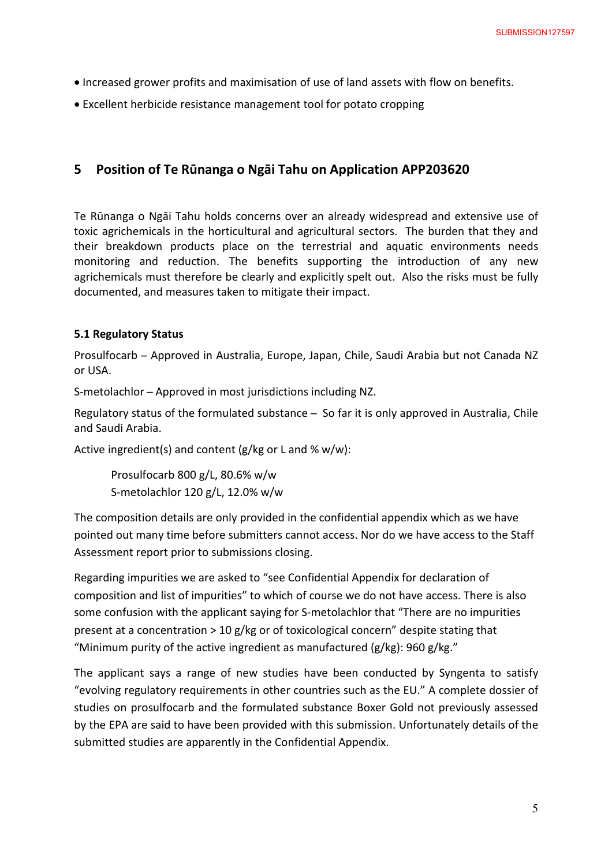- · Increased grower profits and maximisation of use of land assets with flow on benefits.
- · Excellent herbicide resistance management tool for potato cropping

# **5 Position of Te Rūnanga o Ngāi Tahu on Application APP203620**

Te Rūnanga o Ngāi Tahu holds concerns over an already widespread and extensive use of toxic agrichemicals in the horticultural and agricultural sectors. The burden that they and their breakdown products place on the terrestrial and aquatic environments needs monitoring and reduction. The benefits supporting the introduction of any new agrichemicals must therefore be clearly and explicitly spelt out. Also the risks must be fully documented, and measures taken to mitigate their impact.

#### **5.1 Regulatory Status**

Prosulfocarb ̶Approved in Australia, Europe, Japan, Chile, Saudi Arabia but not Canada NZ or USA.

S-metolachlor – Approved in most jurisdictions including NZ.

Regulatory status of the formulated substance ̶ So far it is only approved in Australia, Chile and Saudi Arabia.

Active ingredient(s) and content (g/kg or L and  $% w/w$ ):

Prosulfocarb 800 g/L, 80.6% w/w S-metolachlor 120 g/L, 12.0% w/w

The composition details are only provided in the confidential appendix which as we have pointed out many time before submitters cannot access. Nor do we have access to the Staff Assessment report prior to submissions closing.

Regarding impurities we are asked to "see Confidential Appendix for declaration of composition and list of impurities" to which of course we do not have access. There is also some confusion with the applicant saying for S-metolachlor that "There are no impurities present at a concentration > 10 g/kg or of toxicological concern" despite stating that "Minimum purity of the active ingredient as manufactured (g/kg): 960 g/kg."

The applicant says a range of new studies have been conducted by Syngenta to satisfy "evolving regulatory requirements in other countries such as the EU." A complete dossier of studies on prosulfocarb and the formulated substance Boxer Gold not previously assessed by the EPA are said to have been provided with this submission. Unfortunately details of the submitted studies are apparently in the Confidential Appendix.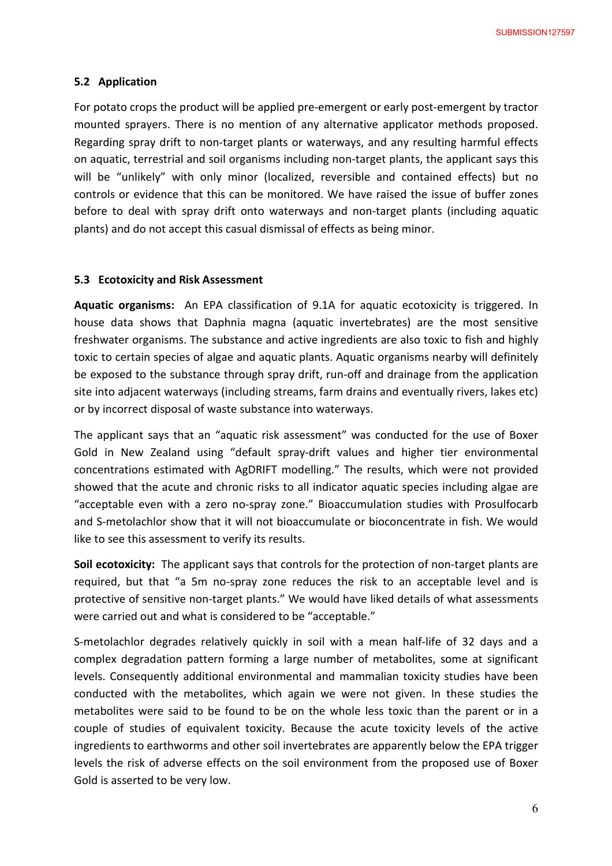#### **5.2 Application**

For potato crops the product will be applied pre-emergent or early post-emergent by tractor mounted sprayers. There is no mention of any alternative applicator methods proposed. Regarding spray drift to non-target plants or waterways, and any resulting harmful effects on aquatic, terrestrial and soil organisms including non-target plants, the applicant says this will be "unlikely" with only minor (localized, reversible and contained effects) but no controls or evidence that this can be monitored. We have raised the issue of buffer zones before to deal with spray drift onto waterways and non-target plants (including aquatic plants) and do not accept this casual dismissal of effects as being minor.

#### **5.3 Ecotoxicity and Risk Assessment**

**Aquatic organisms:** An EPA classification of 9.1A for aquatic ecotoxicity is triggered. In house data shows that Daphnia magna (aquatic invertebrates) are the most sensitive freshwater organisms. The substance and active ingredients are also toxic to fish and highly toxic to certain species of algae and aquatic plants. Aquatic organisms nearby will definitely be exposed to the substance through spray drift, run-off and drainage from the application site into adjacent waterways (including streams, farm drains and eventually rivers, lakes etc) or by incorrect disposal of waste substance into waterways.

The applicant says that an "aquatic risk assessment" was conducted for the use of Boxer Gold in New Zealand using "default spray-drift values and higher tier environmental concentrations estimated with AgDRIFT modelling." The results, which were not provided showed that the acute and chronic risks to all indicator aquatic species including algae are "acceptable even with a zero no-spray zone." Bioaccumulation studies with Prosulfocarb and S-metolachlor show that it will not bioaccumulate or bioconcentrate in fish. We would like to see this assessment to verify its results.

**Soil ecotoxicity:** The applicant says that controls for the protection of non-target plants are required, but that "a 5m no-spray zone reduces the risk to an acceptable level and is protective of sensitive non-target plants." We would have liked details of what assessments were carried out and what is considered to be "acceptable."

S-metolachlor degrades relatively quickly in soil with a mean half-life of 32 days and a complex degradation pattern forming a large number of metabolites, some at significant levels. Consequently additional environmental and mammalian toxicity studies have been conducted with the metabolites, which again we were not given. In these studies the metabolites were said to be found to be on the whole less toxic than the parent or in a couple of studies of equivalent toxicity. Because the acute toxicity levels of the active ingredients to earthworms and other soil invertebrates are apparently below the EPA trigger levels the risk of adverse effects on the soil environment from the proposed use of Boxer Gold is asserted to be very low.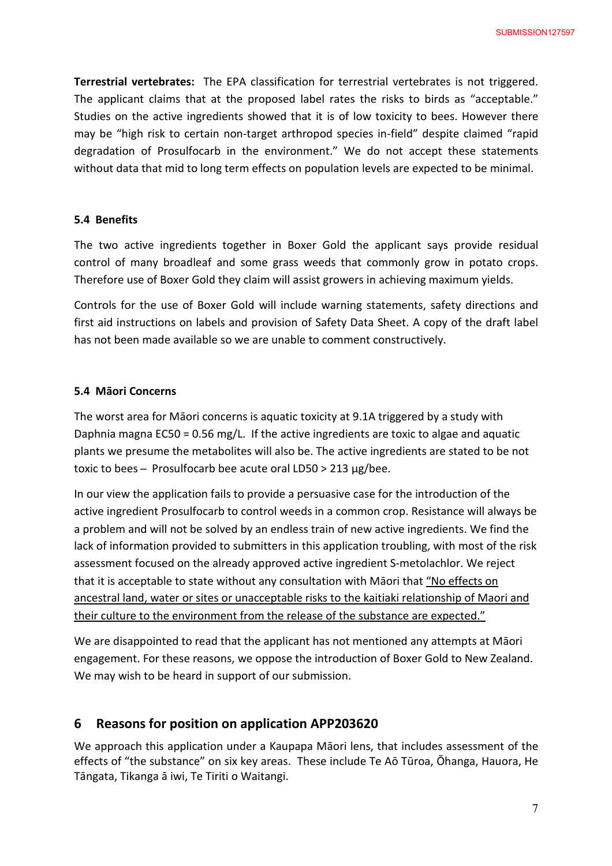**Terrestrial vertebrates:** The EPA classification for terrestrial vertebrates is not triggered. The applicant claims that at the proposed label rates the risks to birds as "acceptable." Studies on the active ingredients showed that it is of low toxicity to bees. However there may be "high risk to certain non-target arthropod species in-field" despite claimed "rapid degradation of Prosulfocarb in the environment." We do not accept these statements without data that mid to long term effects on population levels are expected to be minimal.

#### **5.4 Benefits**

The two active ingredients together in Boxer Gold the applicant says provide residual control of many broadleaf and some grass weeds that commonly grow in potato crops. Therefore use of Boxer Gold they claim will assist growers in achieving maximum yields.

Controls for the use of Boxer Gold will include warning statements, safety directions and first aid instructions on labels and provision of Safety Data Sheet. A copy of the draft label has not been made available so we are unable to comment constructively.

#### **5.4 Māori Concerns**

The worst area for Māori concerns is aquatic toxicity at 9.1A triggered by a study with Daphnia magna EC50 = 0.56 mg/L. If the active ingredients are toxic to algae and aquatic plants we presume the metabolites will also be. The active ingredients are stated to be not toxic to bees ̶ Prosulfocarb bee acute oral LD50 > 213 μg/bee.

In our view the application fails to provide a persuasive case for the introduction of the active ingredient Prosulfocarb to control weeds in a common crop. Resistance will always be a problem and will not be solved by an endless train of new active ingredients. We find the lack of information provided to submitters in this application troubling, with most of the risk assessment focused on the already approved active ingredient S-metolachlor. We reject that it is acceptable to state without any consultation with Māori that "No effects on ancestral land, water or sites or unacceptable risks to the kaitiaki relationship of Maori and their culture to the environment from the release of the substance are expected."

We are disappointed to read that the applicant has not mentioned any attempts at Māori engagement. For these reasons, we oppose the introduction of Boxer Gold to New Zealand. We may wish to be heard in support of our submission.

# **6 Reasons for position on application APP203620**

We approach this application under a Kaupapa Māori lens, that includes assessment of the effects of "the substance" on six key areas. These include Te Aō Tūroa, Ōhanga, Hauora, He Tāngata, Tikanga ā iwi, Te Tiriti o Waitangi.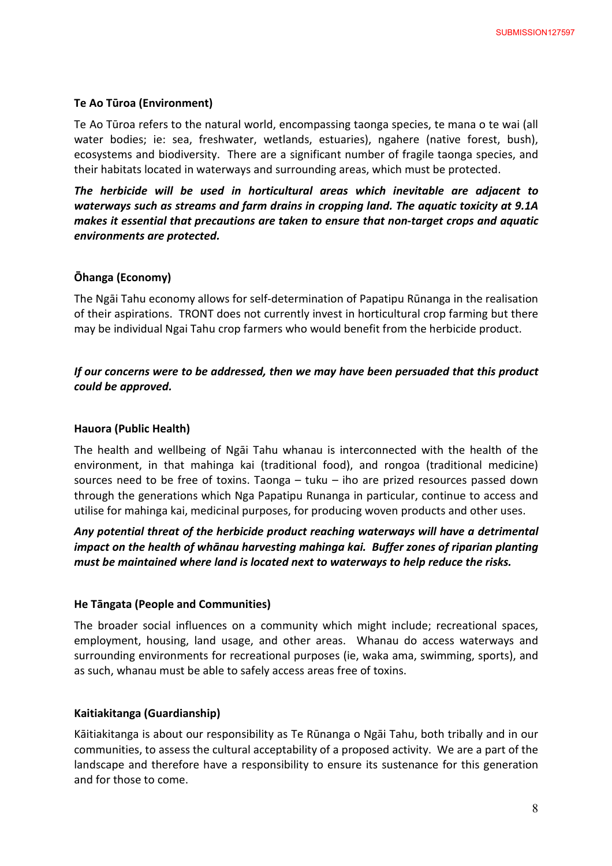#### **Te Ao Tūroa (Environment)**

Te Ao Tūroa refers to the natural world, encompassing taonga species, te mana o te wai (all water bodies; ie: sea, freshwater, wetlands, estuaries), ngahere (native forest, bush), ecosystems and biodiversity. There are a significant number of fragile taonga species, and their habitats located in waterways and surrounding areas, which must be protected.

*The herbicide will be used in horticultural areas which inevitable are adjacent to waterways such as streams and farm drains in cropping land. The aquatic toxicity at 9.1A makes it essential that precautions are taken to ensure that non-target crops and aquatic environments are protected.* 

#### **Ōhanga (Economy)**

The Ngāi Tahu economy allows for self-determination of Papatipu Rūnanga in the realisation of their aspirations. TRONT does not currently invest in horticultural crop farming but there may be individual Ngai Tahu crop farmers who would benefit from the herbicide product.

## *If our concerns were to be addressed, then we may have been persuaded that this product could be approved.*

#### **Hauora (Public Health)**

The health and wellbeing of Ngāi Tahu whanau is interconnected with the health of the environment, in that mahinga kai (traditional food), and rongoa (traditional medicine) sources need to be free of toxins. Taonga  $-$  tuku  $-$  iho are prized resources passed down through the generations which Nga Papatipu Runanga in particular, continue to access and utilise for mahinga kai, medicinal purposes, for producing woven products and other uses.

# *Any potential threat of the herbicide product reaching waterways will have a detrimental impact on the health of whānau harvesting mahinga kai. Buffer zones of riparian planting must be maintained where land is located next to waterways to help reduce the risks.*

#### **He Tāngata (People and Communities)**

The broader social influences on a community which might include; recreational spaces, employment, housing, land usage, and other areas. Whanau do access waterways and surrounding environments for recreational purposes (ie, waka ama, swimming, sports), and as such, whanau must be able to safely access areas free of toxins.

#### **Kaitiakitanga (Guardianship)**

Kāitiakitanga is about our responsibility as Te Rūnanga o Ngāi Tahu, both tribally and in our communities, to assess the cultural acceptability of a proposed activity. We are a part of the landscape and therefore have a responsibility to ensure its sustenance for this generation and for those to come.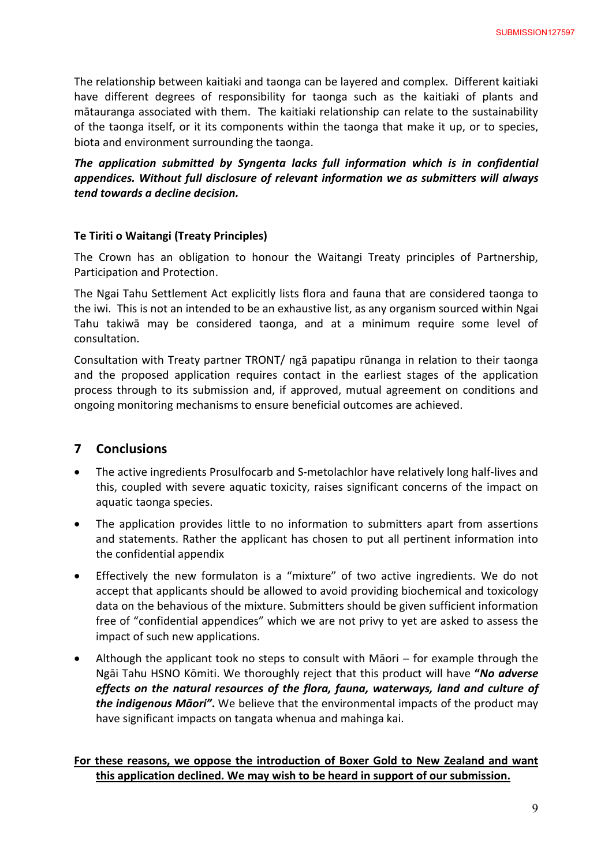The relationship between kaitiaki and taonga can be layered and complex. Different kaitiaki have different degrees of responsibility for taonga such as the kaitiaki of plants and mātauranga associated with them. The kaitiaki relationship can relate to the sustainability of the taonga itself, or it its components within the taonga that make it up, or to species, biota and environment surrounding the taonga.

*The application submitted by Syngenta lacks full information which is in confidential appendices. Without full disclosure of relevant information we as submitters will always tend towards a decline decision.* 

#### **Te Tiriti o Waitangi (Treaty Principles)**

The Crown has an obligation to honour the Waitangi Treaty principles of Partnership, Participation and Protection.

The Ngai Tahu Settlement Act explicitly lists flora and fauna that are considered taonga to the iwi. This is not an intended to be an exhaustive list, as any organism sourced within Ngai Tahu takiwā may be considered taonga, and at a minimum require some level of consultation.

Consultation with Treaty partner TRONT/ ngā papatipu rūnanga in relation to their taonga and the proposed application requires contact in the earliest stages of the application process through to its submission and, if approved, mutual agreement on conditions and ongoing monitoring mechanisms to ensure beneficial outcomes are achieved.

# **7 Conclusions**

- · The active ingredients Prosulfocarb and S-metolachlor have relatively long half-lives and this, coupled with severe aquatic toxicity, raises significant concerns of the impact on aquatic taonga species.
- · The application provides little to no information to submitters apart from assertions and statements. Rather the applicant has chosen to put all pertinent information into the confidential appendix
- · Effectively the new formulaton is a "mixture" of two active ingredients. We do not accept that applicants should be allowed to avoid providing biochemical and toxicology data on the behavious of the mixture. Submitters should be given sufficient information free of "confidential appendices" which we are not privy to yet are asked to assess the impact of such new applications.
- Although the applicant took no steps to consult with Māori for example through the Ngāi Tahu HSNO Kōmiti. We thoroughly reject that this product will have **"***No adverse effects on the natural resources of the flora, fauna, waterways, land and culture of the indigenous Māori"***.** We believe that the environmental impacts of the product may have significant impacts on tangata whenua and mahinga kai.

## **For these reasons, we oppose the introduction of Boxer Gold to New Zealand and want this application declined. We may wish to be heard in support of our submission.**